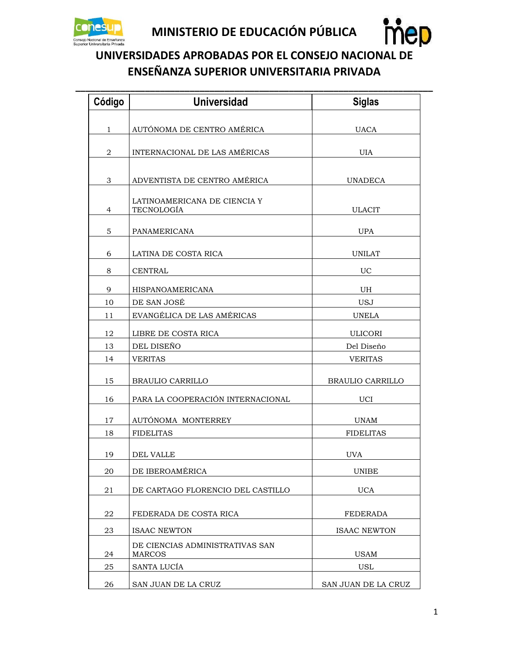



**\_\_\_\_\_\_\_\_\_\_\_\_\_\_\_\_\_\_\_\_\_\_\_\_\_\_\_\_\_\_\_\_\_\_\_\_\_\_\_\_\_\_\_\_\_\_\_\_\_\_\_\_\_\_\_\_\_\_\_\_\_\_\_\_\_\_\_\_\_\_\_\_**

| Código         | <b>Universidad</b>                               | <b>Siglas</b>       |
|----------------|--------------------------------------------------|---------------------|
|                |                                                  |                     |
| $\mathbf{1}$   | AUTÓNOMA DE CENTRO AMÉRICA                       | <b>UACA</b>         |
| 2              | INTERNACIONAL DE LAS AMÉRICAS                    | <b>UIA</b>          |
|                |                                                  |                     |
| 3              | ADVENTISTA DE CENTRO AMÉRICA                     | <b>UNADECA</b>      |
| $\overline{4}$ | LATINOAMERICANA DE CIENCIA Y<br>TECNOLOGÍA       | <b>ULACIT</b>       |
| 5              | PANAMERICANA                                     | <b>UPA</b>          |
| 6              | LATINA DE COSTA RICA                             | <b>UNILAT</b>       |
| 8              | <b>CENTRAL</b>                                   | UC                  |
| 9              | HISPANOAMERICANA                                 | UH                  |
| 10             | DE SAN JOSÉ                                      | <b>USJ</b>          |
| 11             | EVANGÉLICA DE LAS AMÉRICAS                       | <b>UNELA</b>        |
| 12             | LIBRE DE COSTA RICA                              | <b>ULICORI</b>      |
| 13             | DEL DISEÑO                                       | Del Diseño          |
| 14             | <b>VERITAS</b>                                   | <b>VERITAS</b>      |
| 15             | BRAULIO CARRILLO                                 | BRAULIO CARRILLO    |
| 16             | PARA LA COOPERACIÓN INTERNACIONAL                | <b>UCI</b>          |
| 17             | AUTÓNOMA MONTERREY                               | UNAM                |
| 18             | <b>FIDELITAS</b>                                 | <b>FIDELITAS</b>    |
| 19             | <b>DEL VALLE</b>                                 | <b>UVA</b>          |
| 20             | DE IBEROAMÉRICA                                  | <b>UNIBE</b>        |
| 21             | DE CARTAGO FLORENCIO DEL CASTILLO                | <b>UCA</b>          |
| 22             | FEDERADA DE COSTA RICA                           | <b>FEDERADA</b>     |
| 23             | <b>ISAAC NEWTON</b>                              | <b>ISAAC NEWTON</b> |
| 24             | DE CIENCIAS ADMINISTRATIVAS SAN<br><b>MARCOS</b> | <b>USAM</b>         |
| 25             | SANTA LUCÍA                                      | <b>USL</b>          |
| 26             | SAN JUAN DE LA CRUZ                              | SAN JUAN DE LA CRUZ |